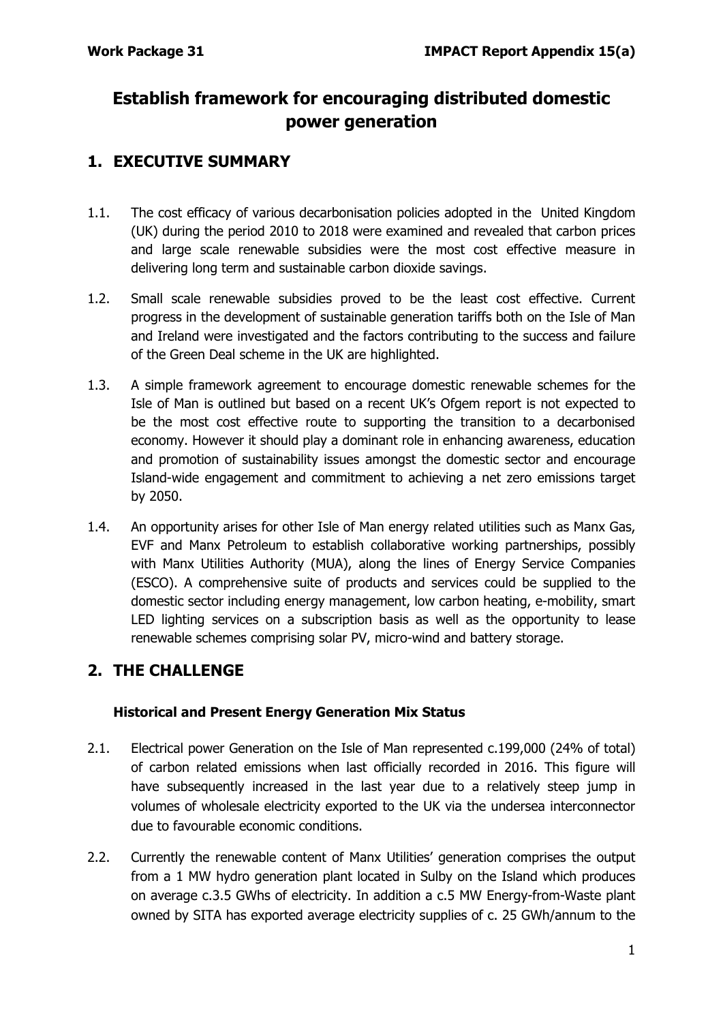# **Establish framework for encouraging distributed domestic power generation**

## **1. EXECUTIVE SUMMARY**

- 1.1. The cost efficacy of various decarbonisation policies adopted in the United Kingdom (UK) during the period 2010 to 2018 were examined and revealed that carbon prices and large scale renewable subsidies were the most cost effective measure in delivering long term and sustainable carbon dioxide savings.
- 1.2. Small scale renewable subsidies proved to be the least cost effective. Current progress in the development of sustainable generation tariffs both on the Isle of Man and Ireland were investigated and the factors contributing to the success and failure of the Green Deal scheme in the UK are highlighted.
- 1.3. A simple framework agreement to encourage domestic renewable schemes for the Isle of Man is outlined but based on a recent UK's Ofgem report is not expected to be the most cost effective route to supporting the transition to a decarbonised economy. However it should play a dominant role in enhancing awareness, education and promotion of sustainability issues amongst the domestic sector and encourage Island-wide engagement and commitment to achieving a net zero emissions target by 2050.
- 1.4. An opportunity arises for other Isle of Man energy related utilities such as Manx Gas, EVF and Manx Petroleum to establish collaborative working partnerships, possibly with Manx Utilities Authority (MUA), along the lines of Energy Service Companies (ESCO). A comprehensive suite of products and services could be supplied to the domestic sector including energy management, low carbon heating, e-mobility, smart LED lighting services on a subscription basis as well as the opportunity to lease renewable schemes comprising solar PV, micro-wind and battery storage.

## **2. THE CHALLENGE**

### **Historical and Present Energy Generation Mix Status**

- 2.1. Electrical power Generation on the Isle of Man represented c.199,000 (24% of total) of carbon related emissions when last officially recorded in 2016. This figure will have subsequently increased in the last year due to a relatively steep jump in volumes of wholesale electricity exported to the UK via the undersea interconnector due to favourable economic conditions.
- 2.2. Currently the renewable content of Manx Utilities' generation comprises the output from a 1 MW hydro generation plant located in Sulby on the Island which produces on average c.3.5 GWhs of electricity. In addition a c.5 MW Energy-from-Waste plant owned by SITA has exported average electricity supplies of c. 25 GWh/annum to the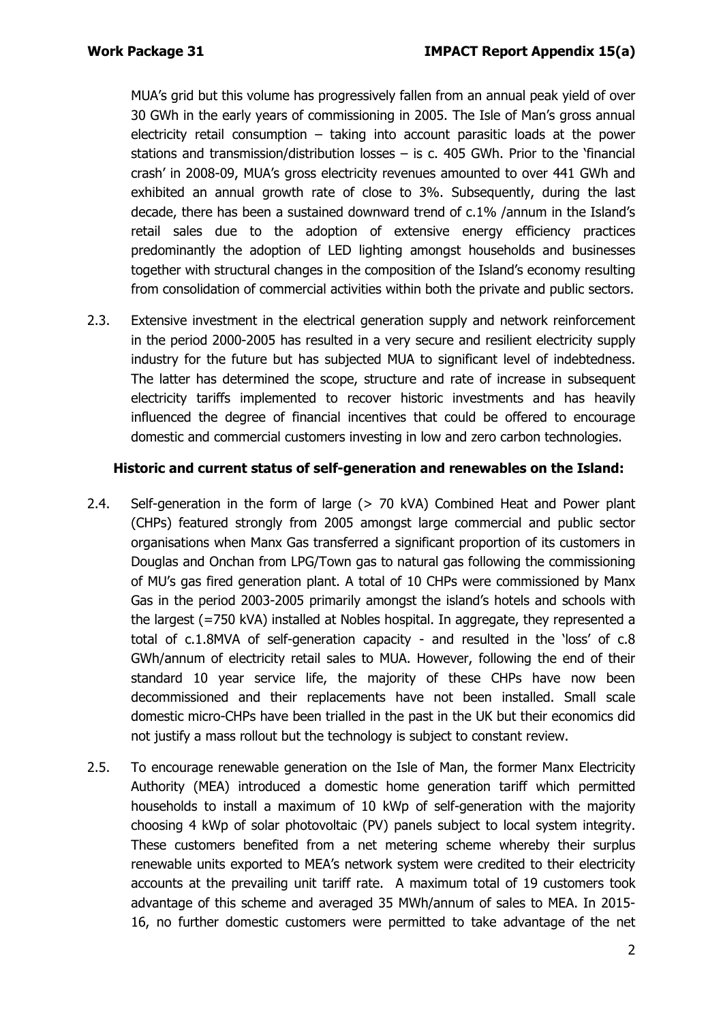MUA's grid but this volume has progressively fallen from an annual peak yield of over 30 GWh in the early years of commissioning in 2005. The Isle of Man's gross annual electricity retail consumption – taking into account parasitic loads at the power stations and transmission/distribution losses  $-$  is c. 405 GWh. Prior to the 'financial crash' in 2008-09, MUA's gross electricity revenues amounted to over 441 GWh and exhibited an annual growth rate of close to 3%. Subsequently, during the last decade, there has been a sustained downward trend of c.1% /annum in the Island's retail sales due to the adoption of extensive energy efficiency practices predominantly the adoption of LED lighting amongst households and businesses together with structural changes in the composition of the Island's economy resulting from consolidation of commercial activities within both the private and public sectors.

2.3. Extensive investment in the electrical generation supply and network reinforcement in the period 2000-2005 has resulted in a very secure and resilient electricity supply industry for the future but has subjected MUA to significant level of indebtedness. The latter has determined the scope, structure and rate of increase in subsequent electricity tariffs implemented to recover historic investments and has heavily influenced the degree of financial incentives that could be offered to encourage domestic and commercial customers investing in low and zero carbon technologies.

#### **Historic and current status of self-generation and renewables on the Island:**

- 2.4. Self-generation in the form of large (> 70 kVA) Combined Heat and Power plant (CHPs) featured strongly from 2005 amongst large commercial and public sector organisations when Manx Gas transferred a significant proportion of its customers in Douglas and Onchan from LPG/Town gas to natural gas following the commissioning of MU's gas fired generation plant. A total of 10 CHPs were commissioned by Manx Gas in the period 2003-2005 primarily amongst the island's hotels and schools with the largest (=750 kVA) installed at Nobles hospital. In aggregate, they represented a total of c.1.8MVA of self-generation capacity - and resulted in the 'loss' of c.8 GWh/annum of electricity retail sales to MUA. However, following the end of their standard 10 year service life, the majority of these CHPs have now been decommissioned and their replacements have not been installed. Small scale domestic micro-CHPs have been trialled in the past in the UK but their economics did not justify a mass rollout but the technology is subject to constant review.
- 2.5. To encourage renewable generation on the Isle of Man, the former Manx Electricity Authority (MEA) introduced a domestic home generation tariff which permitted households to install a maximum of 10 kWp of self-generation with the majority choosing 4 kWp of solar photovoltaic (PV) panels subject to local system integrity. These customers benefited from a net metering scheme whereby their surplus renewable units exported to MEA's network system were credited to their electricity accounts at the prevailing unit tariff rate. A maximum total of 19 customers took advantage of this scheme and averaged 35 MWh/annum of sales to MEA. In 2015- 16, no further domestic customers were permitted to take advantage of the net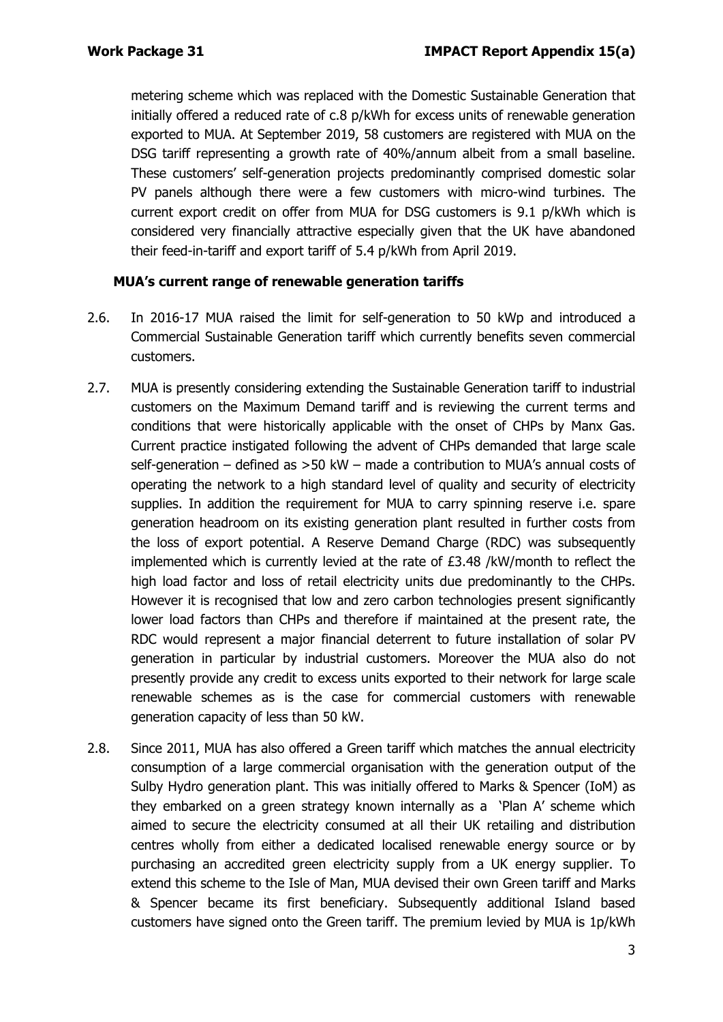metering scheme which was replaced with the Domestic Sustainable Generation that initially offered a reduced rate of c.8 p/kWh for excess units of renewable generation exported to MUA. At September 2019, 58 customers are registered with MUA on the DSG tariff representing a growth rate of 40%/annum albeit from a small baseline. These customers' self-generation projects predominantly comprised domestic solar PV panels although there were a few customers with micro-wind turbines. The current export credit on offer from MUA for DSG customers is 9.1 p/kWh which is considered very financially attractive especially given that the UK have abandoned their feed-in-tariff and export tariff of 5.4 p/kWh from April 2019.

#### **MUA's current range of renewable generation tariffs**

- 2.6. In 2016-17 MUA raised the limit for self-generation to 50 kWp and introduced a Commercial Sustainable Generation tariff which currently benefits seven commercial customers.
- 2.7. MUA is presently considering extending the Sustainable Generation tariff to industrial customers on the Maximum Demand tariff and is reviewing the current terms and conditions that were historically applicable with the onset of CHPs by Manx Gas. Current practice instigated following the advent of CHPs demanded that large scale self-generation – defined as >50 kW – made a contribution to MUA's annual costs of operating the network to a high standard level of quality and security of electricity supplies. In addition the requirement for MUA to carry spinning reserve i.e. spare generation headroom on its existing generation plant resulted in further costs from the loss of export potential. A Reserve Demand Charge (RDC) was subsequently implemented which is currently levied at the rate of £3.48 /kW/month to reflect the high load factor and loss of retail electricity units due predominantly to the CHPs. However it is recognised that low and zero carbon technologies present significantly lower load factors than CHPs and therefore if maintained at the present rate, the RDC would represent a major financial deterrent to future installation of solar PV generation in particular by industrial customers. Moreover the MUA also do not presently provide any credit to excess units exported to their network for large scale renewable schemes as is the case for commercial customers with renewable generation capacity of less than 50 kW.
- 2.8. Since 2011, MUA has also offered a Green tariff which matches the annual electricity consumption of a large commercial organisation with the generation output of the Sulby Hydro generation plant. This was initially offered to Marks & Spencer (IoM) as they embarked on a green strategy known internally as a 'Plan A' scheme which aimed to secure the electricity consumed at all their UK retailing and distribution centres wholly from either a dedicated localised renewable energy source or by purchasing an accredited green electricity supply from a UK energy supplier. To extend this scheme to the Isle of Man, MUA devised their own Green tariff and Marks & Spencer became its first beneficiary. Subsequently additional Island based customers have signed onto the Green tariff. The premium levied by MUA is 1p/kWh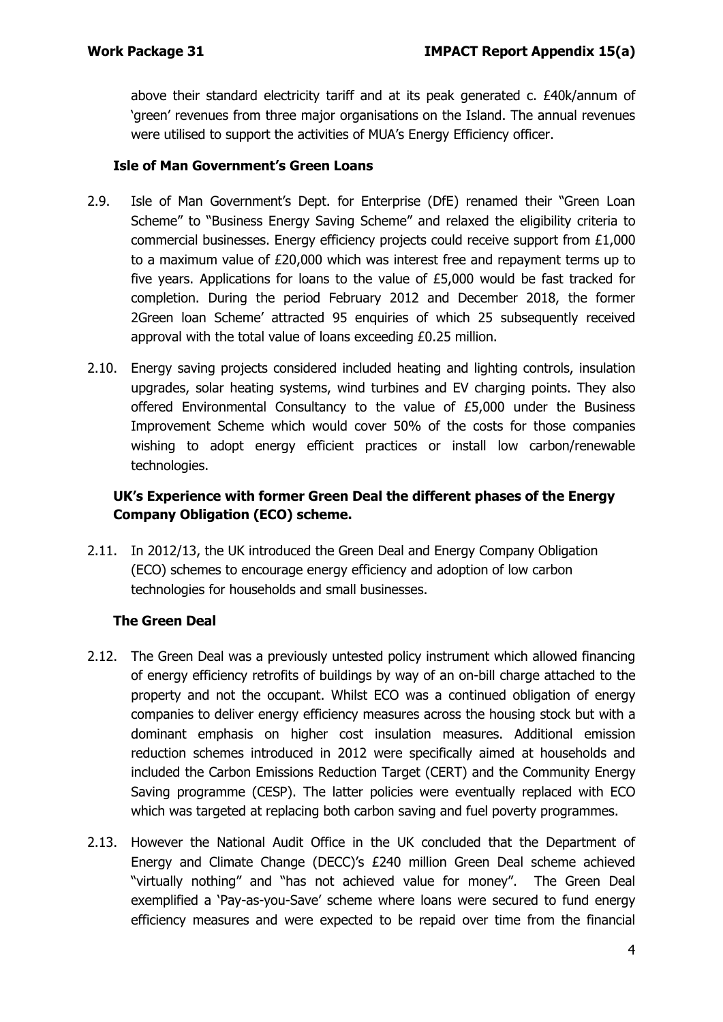above their standard electricity tariff and at its peak generated c. £40k/annum of 'green' revenues from three major organisations on the Island. The annual revenues were utilised to support the activities of MUA's Energy Efficiency officer.

#### **Isle of Man Government's Green Loans**

- 2.9. Isle of Man Government's Dept. for Enterprise (DfE) renamed their "Green Loan Scheme" to "Business Energy Saving Scheme" and relaxed the eligibility criteria to commercial businesses. Energy efficiency projects could receive support from £1,000 to a maximum value of £20,000 which was interest free and repayment terms up to five years. Applications for loans to the value of £5,000 would be fast tracked for completion. During the period February 2012 and December 2018, the former 2Green loan Scheme' attracted 95 enquiries of which 25 subsequently received approval with the total value of loans exceeding £0.25 million.
- 2.10. Energy saving projects considered included heating and lighting controls, insulation upgrades, solar heating systems, wind turbines and EV charging points. They also offered Environmental Consultancy to the value of £5,000 under the Business Improvement Scheme which would cover 50% of the costs for those companies wishing to adopt energy efficient practices or install low carbon/renewable technologies.

### **UK's Experience with former Green Deal the different phases of the Energy Company Obligation (ECO) scheme.**

2.11. In 2012/13, the UK introduced the Green Deal and Energy Company Obligation (ECO) schemes to encourage energy efficiency and adoption of low carbon technologies for households and small businesses.

### **The Green Deal**

- 2.12. The Green Deal was a previously untested policy instrument which allowed financing of energy efficiency retrofits of buildings by way of an on-bill charge attached to the property and not the occupant. Whilst ECO was a continued obligation of energy companies to deliver energy efficiency measures across the housing stock but with a dominant emphasis on higher cost insulation measures. Additional emission reduction schemes introduced in 2012 were specifically aimed at households and included the Carbon Emissions Reduction Target (CERT) and the Community Energy Saving programme (CESP). The latter policies were eventually replaced with ECO which was targeted at replacing both carbon saving and fuel poverty programmes.
- 2.13. However the National Audit Office in the UK concluded that the Department of Energy and Climate Change (DECC)'s £240 million Green Deal scheme achieved "virtually nothing" and "has not achieved value for money". The Green Deal exemplified a 'Pay-as-you-Save' scheme where loans were secured to fund energy efficiency measures and were expected to be repaid over time from the financial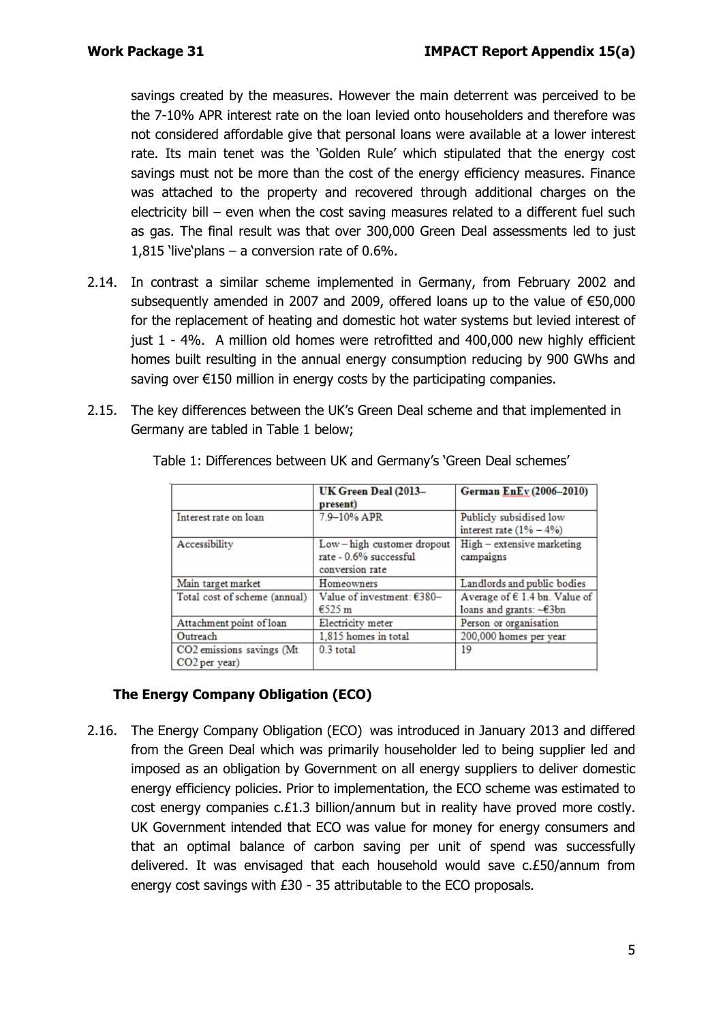savings created by the measures. However the main deterrent was perceived to be the 7-10% APR interest rate on the loan levied onto householders and therefore was not considered affordable give that personal loans were available at a lower interest rate. Its main tenet was the 'Golden Rule' which stipulated that the energy cost savings must not be more than the cost of the energy efficiency measures. Finance was attached to the property and recovered through additional charges on the electricity bill – even when the cost saving measures related to a different fuel such as gas. The final result was that over 300,000 Green Deal assessments led to just 1,815 'live'plans – a conversion rate of 0.6%.

- 2.14. In contrast a similar scheme implemented in Germany, from February 2002 and subsequently amended in 2007 and 2009, offered loans up to the value of €50,000 for the replacement of heating and domestic hot water systems but levied interest of just 1 - 4%. A million old homes were retrofitted and 400,000 new highly efficient homes built resulting in the annual energy consumption reducing by 900 GWhs and saving over €150 million in energy costs by the participating companies.
- 2.15. The key differences between the UK's Green Deal scheme and that implemented in Germany are tabled in Table 1 below;

|                               | UK Green Deal (2013-       | German EnEv (2006-2010)                |  |
|-------------------------------|----------------------------|----------------------------------------|--|
|                               | present)                   |                                        |  |
| Interest rate on loan         | 7.9-10% APR                | Publicly subsidised low                |  |
|                               |                            | interest rate $(1\% - 4\%)$            |  |
| Accessibility                 | Low-high customer dropout  | High - extensive marketing             |  |
|                               | rate - 0.6% successful     | campaigns                              |  |
|                               | conversion rate            |                                        |  |
| Main target market            | Homeowners                 | Landlords and public bodies            |  |
| Total cost of scheme (annual) | Value of investment: €380- | Average of $\epsilon$ 1.4 bn. Value of |  |
|                               | $\epsilon$ 525 m           | loans and grants: ~€3bn                |  |
| Attachment point of loan      | Electricity meter          | Person or organisation                 |  |
| Outreach                      | 1,815 homes in total       | 200,000 homes per year                 |  |
| CO2 emissions savings (Mt     | $0.3$ total                | 19                                     |  |
| CO <sub>2</sub> per year)     |                            |                                        |  |

Table 1: Differences between UK and Germany's 'Green Deal schemes'

### **The Energy Company Obligation (ECO)**

2.16. The Energy Company Obligation (ECO) was introduced in January 2013 and differed from the Green Deal which was primarily householder led to being supplier led and imposed as an obligation by Government on all energy suppliers to deliver domestic energy efficiency policies. Prior to implementation, the ECO scheme was estimated to cost energy companies c.£1.3 billion/annum but in reality have proved more costly. UK Government intended that ECO was value for money for energy consumers and that an optimal balance of carbon saving per unit of spend was successfully delivered. It was envisaged that each household would save c.£50/annum from energy cost savings with £30 - 35 attributable to the ECO proposals.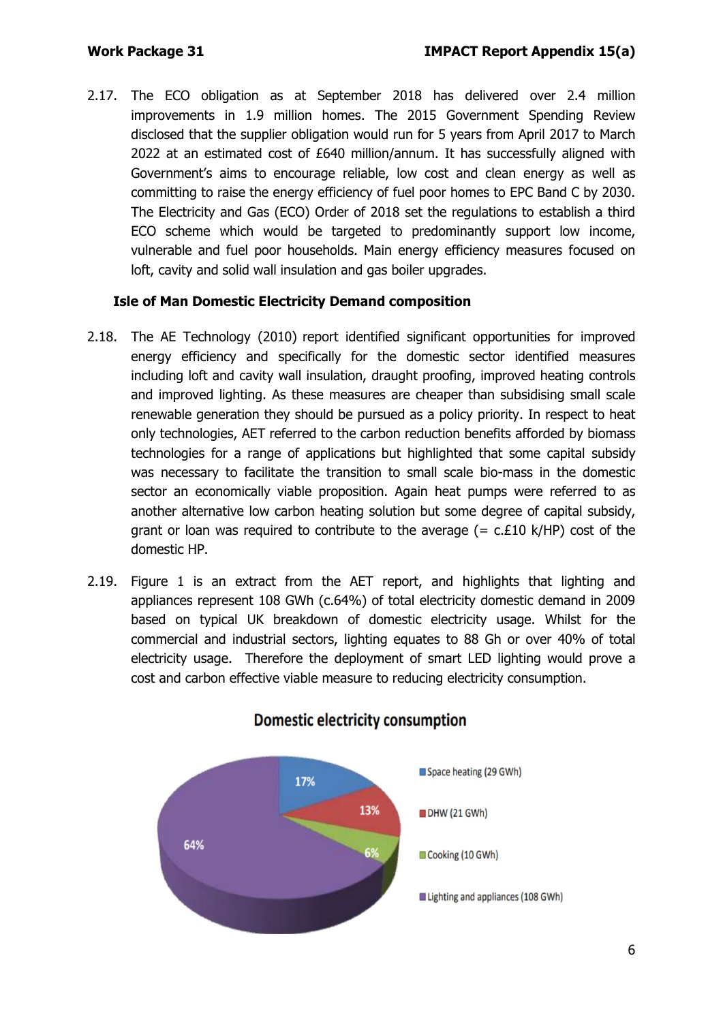2.17. The ECO obligation as at September 2018 has delivered over 2.4 million improvements in 1.9 million homes. The 2015 Government Spending Review disclosed that the supplier obligation would run for 5 years from April 2017 to March 2022 at an estimated cost of £640 million/annum. It has successfully aligned with Government's aims to encourage reliable, low cost and clean energy as well as committing to raise the energy efficiency of fuel poor homes to EPC Band C by 2030. The Electricity and Gas (ECO) Order of 2018 set the regulations to establish a third ECO scheme which would be targeted to predominantly support low income, vulnerable and fuel poor households. Main energy efficiency measures focused on loft, cavity and solid wall insulation and gas boiler upgrades.

#### **Isle of Man Domestic Electricity Demand composition**

- 2.18. The AE Technology (2010) report identified significant opportunities for improved energy efficiency and specifically for the domestic sector identified measures including loft and cavity wall insulation, draught proofing, improved heating controls and improved lighting. As these measures are cheaper than subsidising small scale renewable generation they should be pursued as a policy priority. In respect to heat only technologies, AET referred to the carbon reduction benefits afforded by biomass technologies for a range of applications but highlighted that some capital subsidy was necessary to facilitate the transition to small scale bio-mass in the domestic sector an economically viable proposition. Again heat pumps were referred to as another alternative low carbon heating solution but some degree of capital subsidy, grant or loan was required to contribute to the average  $(= c.E10 K/HP)$  cost of the domestic HP.
- 2.19. Figure 1 is an extract from the AET report, and highlights that lighting and appliances represent 108 GWh (c.64%) of total electricity domestic demand in 2009 based on typical UK breakdown of domestic electricity usage. Whilst for the commercial and industrial sectors, lighting equates to 88 Gh or over 40% of total electricity usage. Therefore the deployment of smart LED lighting would prove a cost and carbon effective viable measure to reducing electricity consumption.



## **Domestic electricity consumption**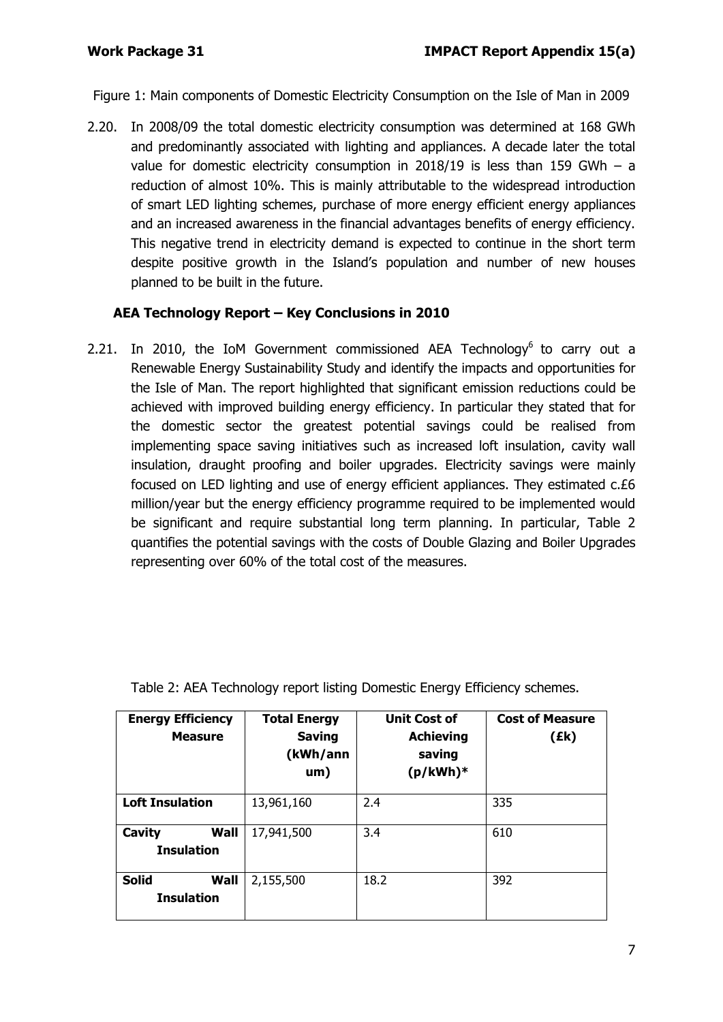Figure 1: Main components of Domestic Electricity Consumption on the Isle of Man in 2009

2.20. In 2008/09 the total domestic electricity consumption was determined at 168 GWh and predominantly associated with lighting and appliances. A decade later the total value for domestic electricity consumption in 2018/19 is less than 159 GWh – a reduction of almost 10%. This is mainly attributable to the widespread introduction of smart LED lighting schemes, purchase of more energy efficient energy appliances and an increased awareness in the financial advantages benefits of energy efficiency. This negative trend in electricity demand is expected to continue in the short term despite positive growth in the Island's population and number of new houses planned to be built in the future.

#### **AEA Technology Report – Key Conclusions in 2010**

2.21. In 2010, the IoM Government commissioned AEA Technology<sup>6</sup> to carry out a Renewable Energy Sustainability Study and identify the impacts and opportunities for the Isle of Man. The report highlighted that significant emission reductions could be achieved with improved building energy efficiency. In particular they stated that for the domestic sector the greatest potential savings could be realised from implementing space saving initiatives such as increased loft insulation, cavity wall insulation, draught proofing and boiler upgrades. Electricity savings were mainly focused on LED lighting and use of energy efficient appliances. They estimated c.£6 million/year but the energy efficiency programme required to be implemented would be significant and require substantial long term planning. In particular, Table 2 quantifies the potential savings with the costs of Double Glazing and Boiler Upgrades representing over 60% of the total cost of the measures.

| <b>Energy Efficiency</b><br><b>Measure</b> | <b>Total Energy</b><br><b>Saving</b><br>(kWh/ann<br>um) | <b>Unit Cost of</b><br><b>Achieving</b><br>saving<br>$(p/kWh)*$ | <b>Cost of Measure</b><br>(Ek) |
|--------------------------------------------|---------------------------------------------------------|-----------------------------------------------------------------|--------------------------------|
| <b>Loft Insulation</b>                     | 13,961,160                                              | 2.4                                                             | 335                            |
| Cavity<br>Wall<br><b>Insulation</b>        | 17,941,500                                              | 3.4                                                             | 610                            |
| <b>Solid</b><br>Wall<br><b>Insulation</b>  | 2,155,500                                               | 18.2                                                            | 392                            |

Table 2: AEA Technology report listing Domestic Energy Efficiency schemes.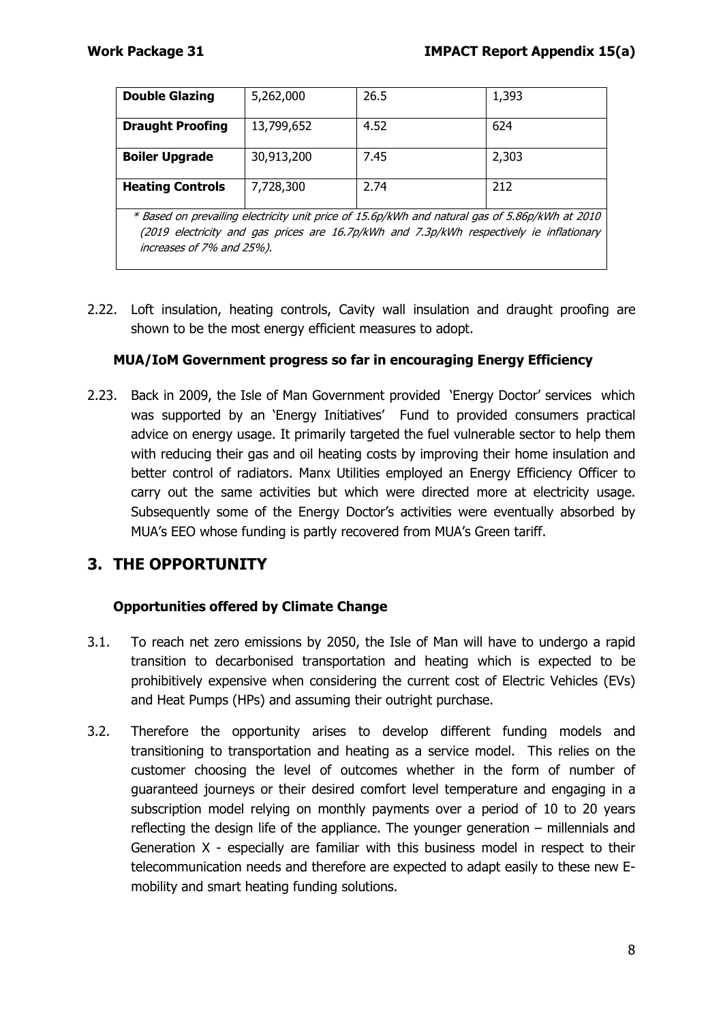| <b>Double Glazing</b>                                                                                                                                                                                                   | 5,262,000  | 26.5 | 1,393 |
|-------------------------------------------------------------------------------------------------------------------------------------------------------------------------------------------------------------------------|------------|------|-------|
| <b>Draught Proofing</b>                                                                                                                                                                                                 | 13,799,652 | 4.52 | 624   |
| <b>Boiler Upgrade</b>                                                                                                                                                                                                   | 30,913,200 | 7.45 | 2,303 |
| <b>Heating Controls</b>                                                                                                                                                                                                 | 7,728,300  | 2.74 | 212   |
| * Based on prevailing electricity unit price of 15.6p/kWh and natural gas of 5.86p/kWh at 2010<br>(2019 electricity and gas prices are 16.7p/kWh and 7.3p/kWh respectively ie inflationary<br>increases of 7% and 25%). |            |      |       |

2.22. Loft insulation, heating controls, Cavity wall insulation and draught proofing are shown to be the most energy efficient measures to adopt.

### **MUA/IoM Government progress so far in encouraging Energy Efficiency**

2.23. Back in 2009, the Isle of Man Government provided 'Energy Doctor' services which was supported by an 'Energy Initiatives' Fund to provided consumers practical advice on energy usage. It primarily targeted the fuel vulnerable sector to help them with reducing their gas and oil heating costs by improving their home insulation and better control of radiators. Manx Utilities employed an Energy Efficiency Officer to carry out the same activities but which were directed more at electricity usage. Subsequently some of the Energy Doctor's activities were eventually absorbed by MUA's EEO whose funding is partly recovered from MUA's Green tariff.

## **3. THE OPPORTUNITY**

### **Opportunities offered by Climate Change**

- 3.1. To reach net zero emissions by 2050, the Isle of Man will have to undergo a rapid transition to decarbonised transportation and heating which is expected to be prohibitively expensive when considering the current cost of Electric Vehicles (EVs) and Heat Pumps (HPs) and assuming their outright purchase.
- 3.2. Therefore the opportunity arises to develop different funding models and transitioning to transportation and heating as a service model. This relies on the customer choosing the level of outcomes whether in the form of number of guaranteed journeys or their desired comfort level temperature and engaging in a subscription model relying on monthly payments over a period of 10 to 20 years reflecting the design life of the appliance. The younger generation – millennials and Generation X - especially are familiar with this business model in respect to their telecommunication needs and therefore are expected to adapt easily to these new Emobility and smart heating funding solutions.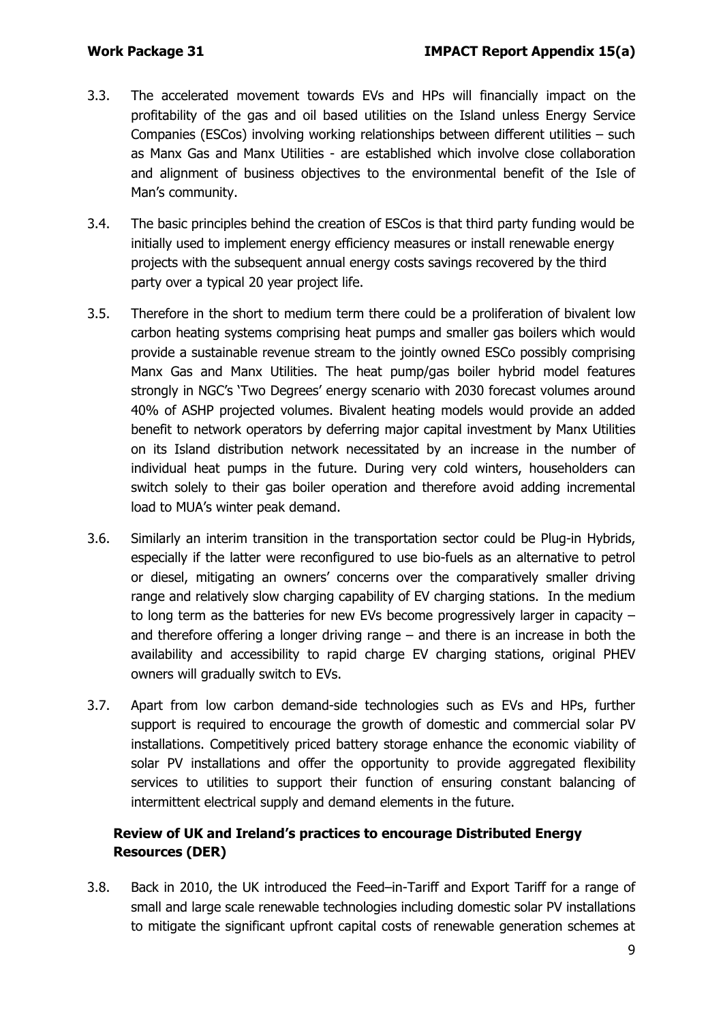- 3.3. The accelerated movement towards EVs and HPs will financially impact on the profitability of the gas and oil based utilities on the Island unless Energy Service Companies (ESCos) involving working relationships between different utilities – such as Manx Gas and Manx Utilities - are established which involve close collaboration and alignment of business objectives to the environmental benefit of the Isle of Man's community.
- 3.4. The basic principles behind the creation of ESCos is that third party funding would be initially used to implement energy efficiency measures or install renewable energy projects with the subsequent annual energy costs savings recovered by the third party over a typical 20 year project life.
- 3.5. Therefore in the short to medium term there could be a proliferation of bivalent low carbon heating systems comprising heat pumps and smaller gas boilers which would provide a sustainable revenue stream to the jointly owned ESCo possibly comprising Manx Gas and Manx Utilities. The heat pump/gas boiler hybrid model features strongly in NGC's 'Two Degrees' energy scenario with 2030 forecast volumes around 40% of ASHP projected volumes. Bivalent heating models would provide an added benefit to network operators by deferring major capital investment by Manx Utilities on its Island distribution network necessitated by an increase in the number of individual heat pumps in the future. During very cold winters, householders can switch solely to their gas boiler operation and therefore avoid adding incremental load to MUA's winter peak demand.
- 3.6. Similarly an interim transition in the transportation sector could be Plug-in Hybrids, especially if the latter were reconfigured to use bio-fuels as an alternative to petrol or diesel, mitigating an owners' concerns over the comparatively smaller driving range and relatively slow charging capability of EV charging stations. In the medium to long term as the batteries for new EVs become progressively larger in capacity – and therefore offering a longer driving range – and there is an increase in both the availability and accessibility to rapid charge EV charging stations, original PHEV owners will gradually switch to EVs.
- 3.7. Apart from low carbon demand-side technologies such as EVs and HPs, further support is required to encourage the growth of domestic and commercial solar PV installations. Competitively priced battery storage enhance the economic viability of solar PV installations and offer the opportunity to provide aggregated flexibility services to utilities to support their function of ensuring constant balancing of intermittent electrical supply and demand elements in the future.

## **Review of UK and Ireland's practices to encourage Distributed Energy Resources (DER)**

3.8. Back in 2010, the UK introduced the Feed–in-Tariff and Export Tariff for a range of small and large scale renewable technologies including domestic solar PV installations to mitigate the significant upfront capital costs of renewable generation schemes at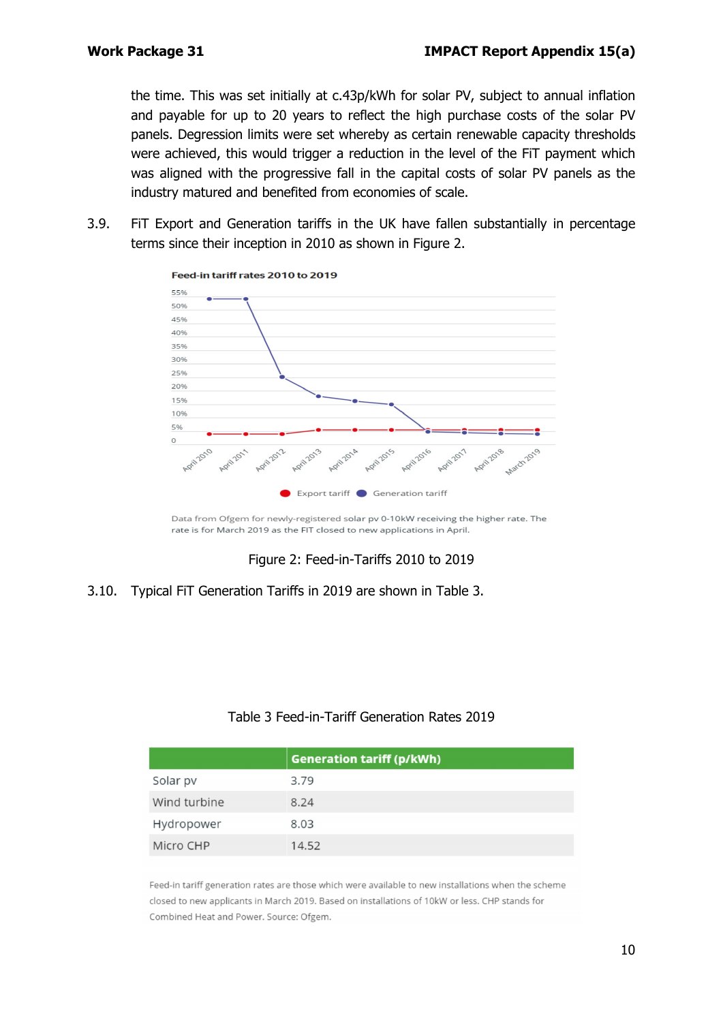the time. This was set initially at c.43p/kWh for solar PV, subject to annual inflation and payable for up to 20 years to reflect the high purchase costs of the solar PV panels. Degression limits were set whereby as certain renewable capacity thresholds were achieved, this would trigger a reduction in the level of the FiT payment which was aligned with the progressive fall in the capital costs of solar PV panels as the industry matured and benefited from economies of scale.

3.9. FiT Export and Generation tariffs in the UK have fallen substantially in percentage terms since their inception in 2010 as shown in Figure 2.



Data from Ofgem for newly-registered solar pv 0-10kW receiving the higher rate. The rate is for March 2019 as the FIT closed to new applications in April.

Figure 2: Feed-in-Tariffs 2010 to 2019

#### 3.10. Typical FiT Generation Tariffs in 2019 are shown in Table 3.

#### Table 3 Feed-in-Tariff Generation Rates 2019

|              | <b>Generation tariff (p/kWh)</b> |
|--------------|----------------------------------|
| Solar pv     | 3.79                             |
| Wind turbine | 8.24                             |
| Hydropower   | 8.03                             |
| Micro CHP    | 14.52                            |

Feed-in tariff generation rates are those which were available to new installations when the scheme closed to new applicants in March 2019. Based on installations of 10kW or less. CHP stands for Combined Heat and Power. Source: Ofgem.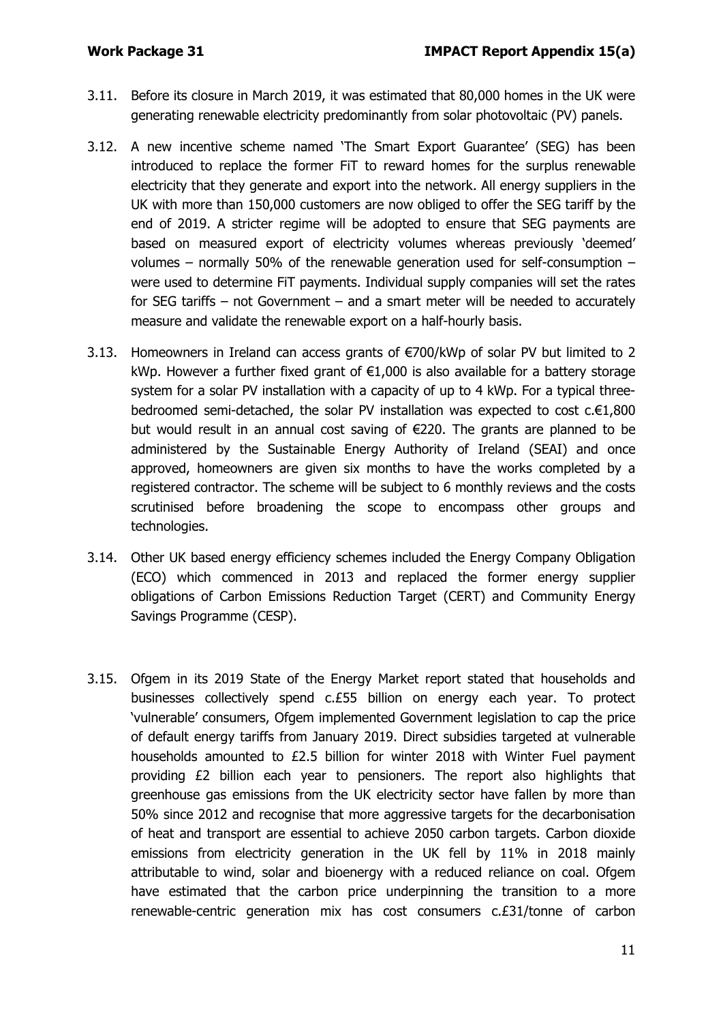- 3.11. Before its closure in March 2019, it was estimated that 80,000 homes in the UK were generating renewable electricity predominantly from solar photovoltaic (PV) panels.
- 3.12. A new incentive scheme named 'The Smart Export Guarantee' (SEG) has been introduced to replace the former FiT to reward homes for the surplus renewable electricity that they generate and export into the network. All energy suppliers in the UK with more than 150,000 customers are now obliged to offer the SEG tariff by the end of 2019. A stricter regime will be adopted to ensure that SEG payments are based on measured export of electricity volumes whereas previously 'deemed' volumes – normally 50% of the renewable generation used for self-consumption – were used to determine FiT payments. Individual supply companies will set the rates for SEG tariffs – not Government – and a smart meter will be needed to accurately measure and validate the renewable export on a half-hourly basis.
- 3.13. Homeowners in Ireland can access grants of €700/kWp of solar PV but limited to 2 kWp. However a further fixed grant of  $E1,000$  is also available for a battery storage system for a solar PV installation with a capacity of up to 4 kWp. For a typical threebedroomed semi-detached, the solar PV installation was expected to cost c.€1,800 but would result in an annual cost saving of €220. The grants are planned to be administered by the Sustainable Energy Authority of Ireland (SEAI) and once approved, homeowners are given six months to have the works completed by a registered contractor. The scheme will be subject to 6 monthly reviews and the costs scrutinised before broadening the scope to encompass other groups and technologies.
- 3.14. Other UK based energy efficiency schemes included the Energy Company Obligation (ECO) which commenced in 2013 and replaced the former energy supplier obligations of Carbon Emissions Reduction Target (CERT) and Community Energy Savings Programme (CESP).
- 3.15. Ofgem in its 2019 State of the Energy Market report stated that households and businesses collectively spend c.£55 billion on energy each year. To protect 'vulnerable' consumers, Ofgem implemented Government legislation to cap the price of default energy tariffs from January 2019. Direct subsidies targeted at vulnerable households amounted to £2.5 billion for winter 2018 with Winter Fuel payment providing £2 billion each year to pensioners. The report also highlights that greenhouse gas emissions from the UK electricity sector have fallen by more than 50% since 2012 and recognise that more aggressive targets for the decarbonisation of heat and transport are essential to achieve 2050 carbon targets. Carbon dioxide emissions from electricity generation in the UK fell by 11% in 2018 mainly attributable to wind, solar and bioenergy with a reduced reliance on coal. Ofgem have estimated that the carbon price underpinning the transition to a more renewable-centric generation mix has cost consumers c.£31/tonne of carbon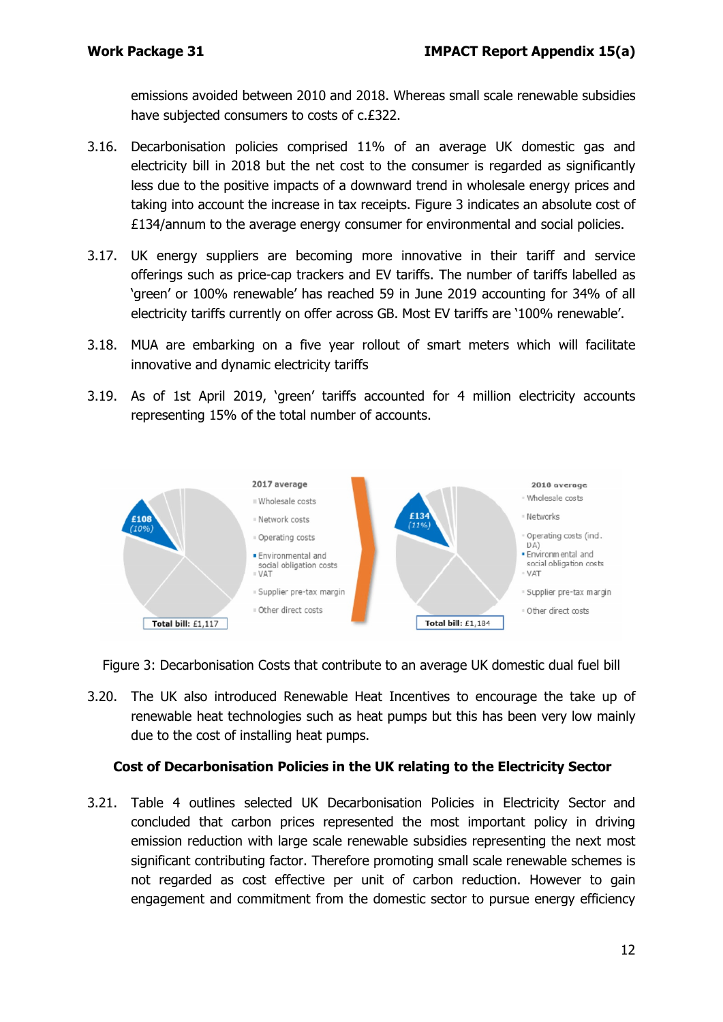emissions avoided between 2010 and 2018. Whereas small scale renewable subsidies have subjected consumers to costs of c.£322.

- 3.16. Decarbonisation policies comprised 11% of an average UK domestic gas and electricity bill in 2018 but the net cost to the consumer is regarded as significantly less due to the positive impacts of a downward trend in wholesale energy prices and taking into account the increase in tax receipts. Figure 3 indicates an absolute cost of £134/annum to the average energy consumer for environmental and social policies.
- 3.17. UK energy suppliers are becoming more innovative in their tariff and service offerings such as price-cap trackers and EV tariffs. The number of tariffs labelled as 'green' or 100% renewable' has reached 59 in June 2019 accounting for 34% of all electricity tariffs currently on offer across GB. Most EV tariffs are '100% renewable'.
- 3.18. MUA are embarking on a five year rollout of smart meters which will facilitate innovative and dynamic electricity tariffs
- 3.19. As of 1st April 2019, 'green' tariffs accounted for 4 million electricity accounts representing 15% of the total number of accounts.



Figure 3: Decarbonisation Costs that contribute to an average UK domestic dual fuel bill

3.20. The UK also introduced Renewable Heat Incentives to encourage the take up of renewable heat technologies such as heat pumps but this has been very low mainly due to the cost of installing heat pumps.

### **Cost of Decarbonisation Policies in the UK relating to the Electricity Sector**

3.21. Table 4 outlines selected UK Decarbonisation Policies in Electricity Sector and concluded that carbon prices represented the most important policy in driving emission reduction with large scale renewable subsidies representing the next most significant contributing factor. Therefore promoting small scale renewable schemes is not regarded as cost effective per unit of carbon reduction. However to gain engagement and commitment from the domestic sector to pursue energy efficiency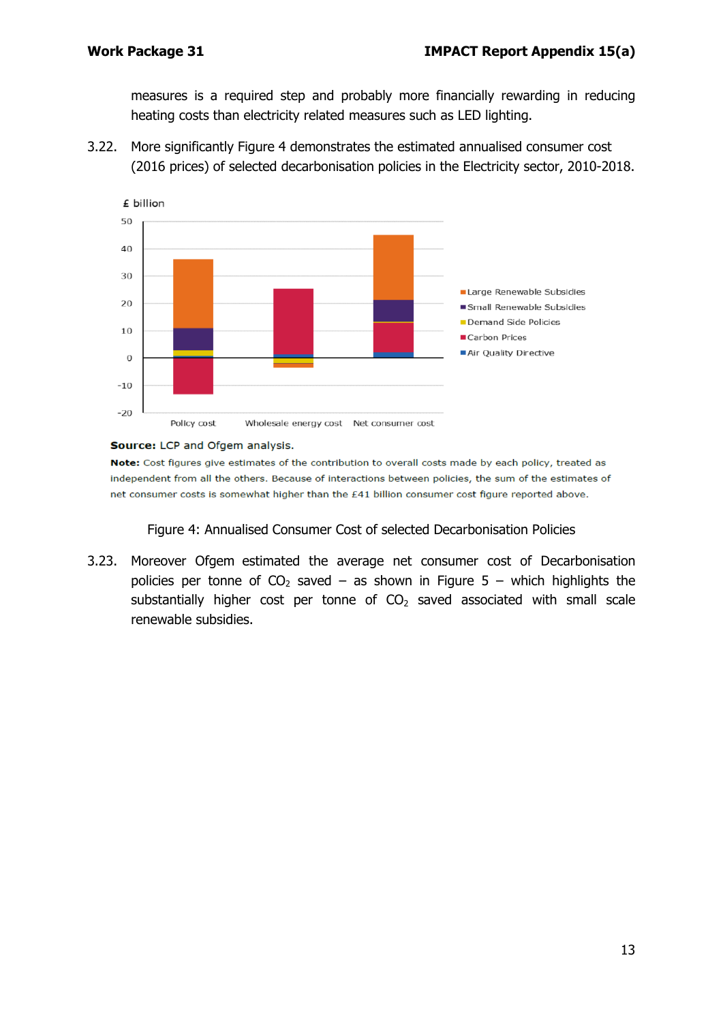measures is a required step and probably more financially rewarding in reducing heating costs than electricity related measures such as LED lighting.

3.22. More significantly Figure 4 demonstrates the estimated annualised consumer cost (2016 prices) of selected decarbonisation policies in the Electricity sector, 2010-2018.



#### Source: LCP and Ofgem analysis.

Note: Cost figures give estimates of the contribution to overall costs made by each policy, treated as independent from all the others. Because of interactions between policies, the sum of the estimates of net consumer costs is somewhat higher than the £41 billion consumer cost figure reported above.

Figure 4: Annualised Consumer Cost of selected Decarbonisation Policies

3.23. Moreover Ofgem estimated the average net consumer cost of Decarbonisation policies per tonne of  $CO<sub>2</sub>$  saved – as shown in Figure 5 – which highlights the substantially higher cost per tonne of  $CO<sub>2</sub>$  saved associated with small scale renewable subsidies.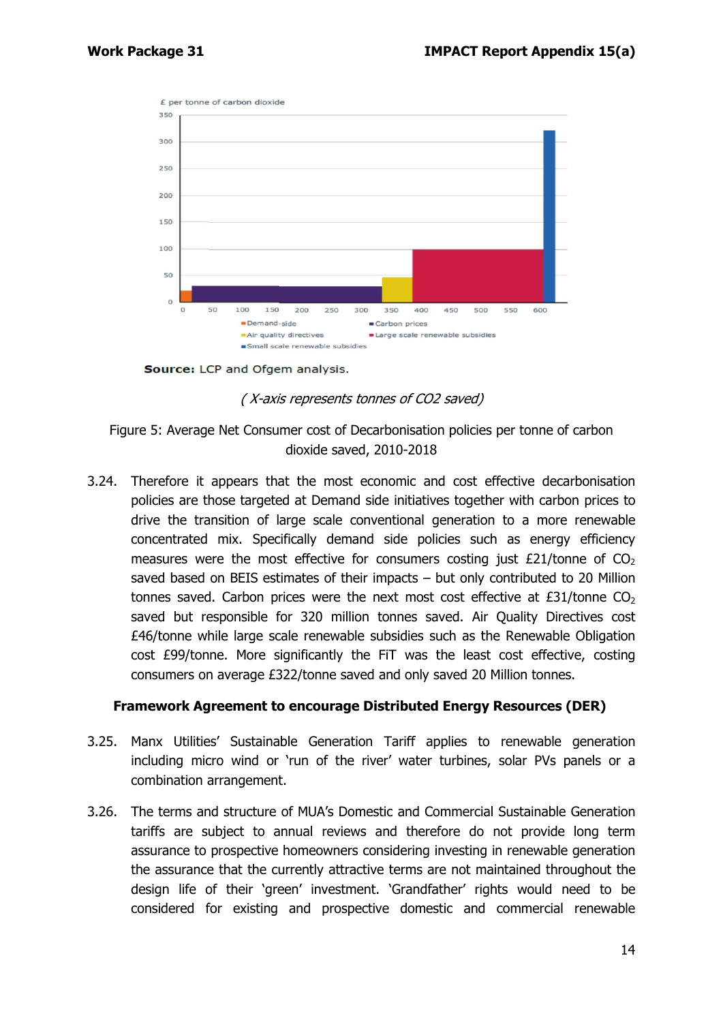

Source: LCP and Ofgem analysis.

( X-axis represents tonnes of CO2 saved)

Figure 5: Average Net Consumer cost of Decarbonisation policies per tonne of carbon dioxide saved, 2010-2018

3.24. Therefore it appears that the most economic and cost effective decarbonisation policies are those targeted at Demand side initiatives together with carbon prices to drive the transition of large scale conventional generation to a more renewable concentrated mix. Specifically demand side policies such as energy efficiency measures were the most effective for consumers costing just  $£21/tonne$  of  $CO<sub>2</sub>$ saved based on BEIS estimates of their impacts – but only contributed to 20 Million tonnes saved. Carbon prices were the next most cost effective at  $E31/tonne CO<sub>2</sub>$ saved but responsible for 320 million tonnes saved. Air Quality Directives cost £46/tonne while large scale renewable subsidies such as the Renewable Obligation cost £99/tonne. More significantly the FiT was the least cost effective, costing consumers on average £322/tonne saved and only saved 20 Million tonnes.

#### **Framework Agreement to encourage Distributed Energy Resources (DER)**

- 3.25. Manx Utilities' Sustainable Generation Tariff applies to renewable generation including micro wind or 'run of the river' water turbines, solar PVs panels or a combination arrangement.
- 3.26. The terms and structure of MUA's Domestic and Commercial Sustainable Generation tariffs are subject to annual reviews and therefore do not provide long term assurance to prospective homeowners considering investing in renewable generation the assurance that the currently attractive terms are not maintained throughout the design life of their 'green' investment. 'Grandfather' rights would need to be considered for existing and prospective domestic and commercial renewable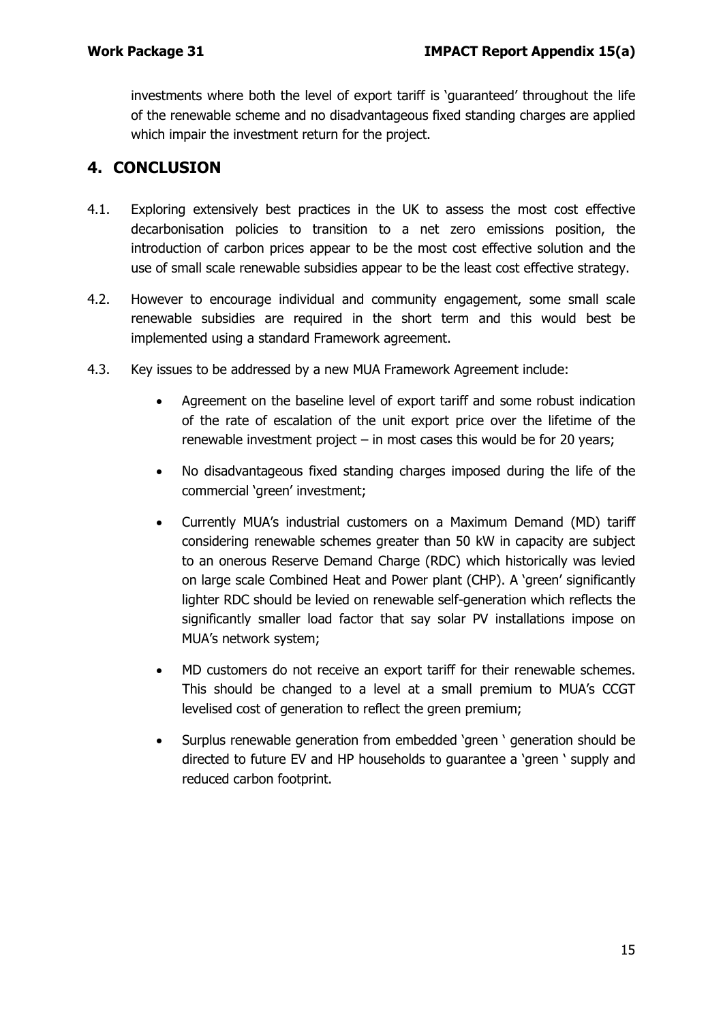investments where both the level of export tariff is 'guaranteed' throughout the life of the renewable scheme and no disadvantageous fixed standing charges are applied which impair the investment return for the project.

# **4. CONCLUSION**

- 4.1. Exploring extensively best practices in the UK to assess the most cost effective decarbonisation policies to transition to a net zero emissions position, the introduction of carbon prices appear to be the most cost effective solution and the use of small scale renewable subsidies appear to be the least cost effective strategy.
- 4.2. However to encourage individual and community engagement, some small scale renewable subsidies are required in the short term and this would best be implemented using a standard Framework agreement.
- 4.3. Key issues to be addressed by a new MUA Framework Agreement include:
	- Agreement on the baseline level of export tariff and some robust indication of the rate of escalation of the unit export price over the lifetime of the renewable investment project  $-$  in most cases this would be for 20 years;
	- No disadvantageous fixed standing charges imposed during the life of the commercial 'green' investment;
	- Currently MUA's industrial customers on a Maximum Demand (MD) tariff considering renewable schemes greater than 50 kW in capacity are subject to an onerous Reserve Demand Charge (RDC) which historically was levied on large scale Combined Heat and Power plant (CHP). A 'green' significantly lighter RDC should be levied on renewable self-generation which reflects the significantly smaller load factor that say solar PV installations impose on MUA's network system;
	- MD customers do not receive an export tariff for their renewable schemes. This should be changed to a level at a small premium to MUA's CCGT levelised cost of generation to reflect the green premium;
	- Surplus renewable generation from embedded 'green ' generation should be directed to future EV and HP households to guarantee a 'green ' supply and reduced carbon footprint.